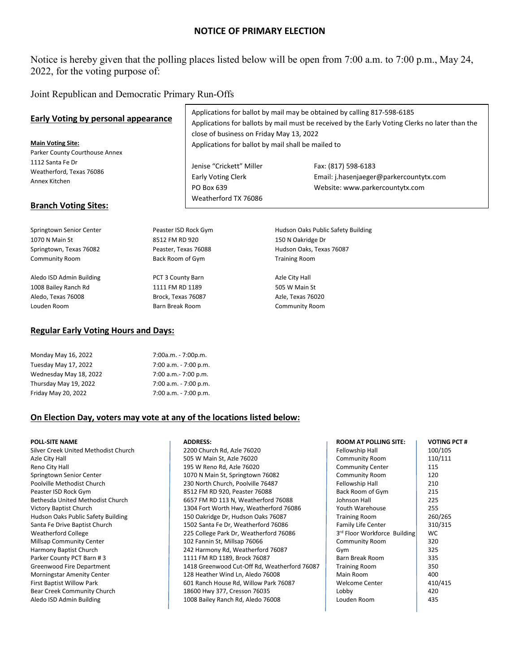# **NOTICE OF PRIMARY ELECTION**

Notice is hereby given that the polling places listed below will be open from 7:00 a.m. to 7:00 p.m., May 24, 2022, for the voting purpose of:

Joint Republican and Democratic Primary Run-Offs

| Early Voting by personal appearance<br><b>Main Voting Site:</b><br>Parker County Courthouse Annex<br>1112 Santa Fe Dr<br>Weatherford, Texas 76086<br>Annex Kitchen<br><b>Branch Voting Sites:</b> |                        | Applications for ballot by mail may be obtained by calling 817-598-6185<br>Applications for ballots by mail must be received by the Early Voting Clerks no later than the<br>close of business on Friday May 13, 2022<br>Applications for ballot by mail shall be mailed to |                                                                                                   |  |
|---------------------------------------------------------------------------------------------------------------------------------------------------------------------------------------------------|------------------------|-----------------------------------------------------------------------------------------------------------------------------------------------------------------------------------------------------------------------------------------------------------------------------|---------------------------------------------------------------------------------------------------|--|
|                                                                                                                                                                                                   |                        | Jenise "Crickett" Miller<br><b>Early Voting Clerk</b><br>PO Box 639<br>Weatherford TX 76086                                                                                                                                                                                 | Fax: (817) 598-6183<br>Email: j.hasenjaeger@parkercountytx.com<br>Website: www.parkercountytx.com |  |
| Springtown Senior Center                                                                                                                                                                          | Peaster ISD Rock Gym   |                                                                                                                                                                                                                                                                             | Hudson Oaks Public Safety Building                                                                |  |
| 1070 N Main St                                                                                                                                                                                    | 8512 FM RD 920         |                                                                                                                                                                                                                                                                             | 150 N Oakridge Dr                                                                                 |  |
| Springtown, Texas 76082                                                                                                                                                                           | Peaster, Texas 76088   |                                                                                                                                                                                                                                                                             | Hudson Oaks, Texas 76087                                                                          |  |
| <b>Community Room</b>                                                                                                                                                                             | Back Room of Gym       |                                                                                                                                                                                                                                                                             | <b>Training Room</b>                                                                              |  |
| Aledo ISD Admin Building                                                                                                                                                                          | PCT 3 County Barn      |                                                                                                                                                                                                                                                                             | Azle City Hall                                                                                    |  |
| 1008 Bailey Ranch Rd                                                                                                                                                                              | 1111 FM RD 1189        |                                                                                                                                                                                                                                                                             | 505 W Main St                                                                                     |  |
| Aledo, Texas 76008                                                                                                                                                                                | Brock, Texas 76087     |                                                                                                                                                                                                                                                                             | Azle, Texas 76020                                                                                 |  |
| Louden Room                                                                                                                                                                                       | <b>Barn Break Room</b> |                                                                                                                                                                                                                                                                             | <b>Community Room</b>                                                                             |  |

## **Regular Early Voting Hours and Days:**

| Monday May 16, 2022    | 7:00a.m. - 7:00p.m.   |
|------------------------|-----------------------|
| Tuesday May 17, 2022   | 7:00 a.m. - 7:00 p.m. |
| Wednesday May 18, 2022 | 7:00 a.m. - 7:00 p.m. |
| Thursday May 19, 2022  | 7:00 a.m. - 7:00 p.m. |
| Friday May 20, 2022    | 7:00 a.m. - 7:00 p.m. |

### **On Election Day, voters may vote at any of the locations listed below:**

# Bethesda United Methodist Church 6657 FM RD 113 N, Weatherford 76088 Victory Baptist Church 1304 Fort Worth Hwy, Weatherford 76086 Hudson Oaks Public Safety Building 150 Oakridge Dr, Hudson Oaks 76087 Santa Fe Drive Baptist Church 1502 Santa Fe Dr, Weatherford 76086 Weatherford College 225 College Park Dr, Weatherford 76086 Harmony Baptist Church 242 Harmony Rd, Weatherford 76087<br>
Parker County PCT Barn # 3 325 [2012] THE RD 1189, Brock 76087 1111 FM RD 1189, Brock 76087 Greenwood Fire Department 1418 Greenwood Cut-Off Rd, Weatherford 76087 Morningstar Amenity Center 128 Heather Wind Ln, Aledo 76008 First Baptist Willow Park **601 Ranch House Rd, Willow Park 76087** Aledo ISD Admin Building 1008 Bailey Ranch Rd, Aledo 76008

| <b>POLL-SITE NAME</b>                | <b>ADDRESS:</b>                              | <b>ROOM AT POLLING SITE:</b> | VOTING PCT # |
|--------------------------------------|----------------------------------------------|------------------------------|--------------|
| Silver Creek United Methodist Church | 2200 Church Rd, Azle 76020                   | Fellowship Hall              | 100/105      |
| Azle City Hall                       | 505 W Main St, Azle 76020                    | <b>Community Room</b>        | 110/111      |
| Reno City Hall                       | 195 W Reno Rd, Azle 76020                    | <b>Community Center</b>      | 115          |
| Springtown Senior Center             | 1070 N Main St, Springtown 76082             | <b>Community Room</b>        | 120          |
| Poolville Methodist Church           | 230 North Church, Poolville 76487            | Fellowship Hall              | 210          |
| Peaster ISD Rock Gym                 | 8512 FM RD 920, Peaster 76088                | Back Room of Gym             | 215          |
| Bethesda United Methodist Church     | 6657 FM RD 113 N, Weatherford 76088          | Johnson Hall                 | 225          |
| Victory Baptist Church               | 1304 Fort Worth Hwy, Weatherford 76086       | Youth Warehouse              | 255          |
| Hudson Oaks Public Safety Building   | 150 Oakridge Dr, Hudson Oaks 76087           | <b>Training Room</b>         | 260/265      |
| Santa Fe Drive Baptist Church        | 1502 Santa Fe Dr, Weatherford 76086          | Family Life Center           | 310/315      |
| <b>Weatherford College</b>           | 225 College Park Dr, Weatherford 76086       | 3rd Floor Workforce Building | <b>WC</b>    |
| Millsap Community Center             | 102 Fannin St, Millsap 76066                 | <b>Community Room</b>        | 320          |
| Harmony Baptist Church               | 242 Harmony Rd, Weatherford 76087            | Gym                          | 325          |
| Parker County PCT Barn #3            | 1111 FM RD 1189, Brock 76087                 | Barn Break Room              | 335          |
| Greenwood Fire Department            | 1418 Greenwood Cut-Off Rd, Weatherford 76087 | <b>Training Room</b>         | 350          |
| Morningstar Amenity Center           | 128 Heather Wind Ln, Aledo 76008             | Main Room                    | 400          |
| First Baptist Willow Park            | 601 Ranch House Rd, Willow Park 76087        | <b>Welcome Center</b>        | 410/415      |
| Bear Creek Community Church          | 18600 Hwy 377, Cresson 76035                 | Lobby                        | 420          |
| Aledo ISD Admin Building             | 1008 Bailey Ranch Rd, Aledo 76008            | Louden Room                  | 435          |